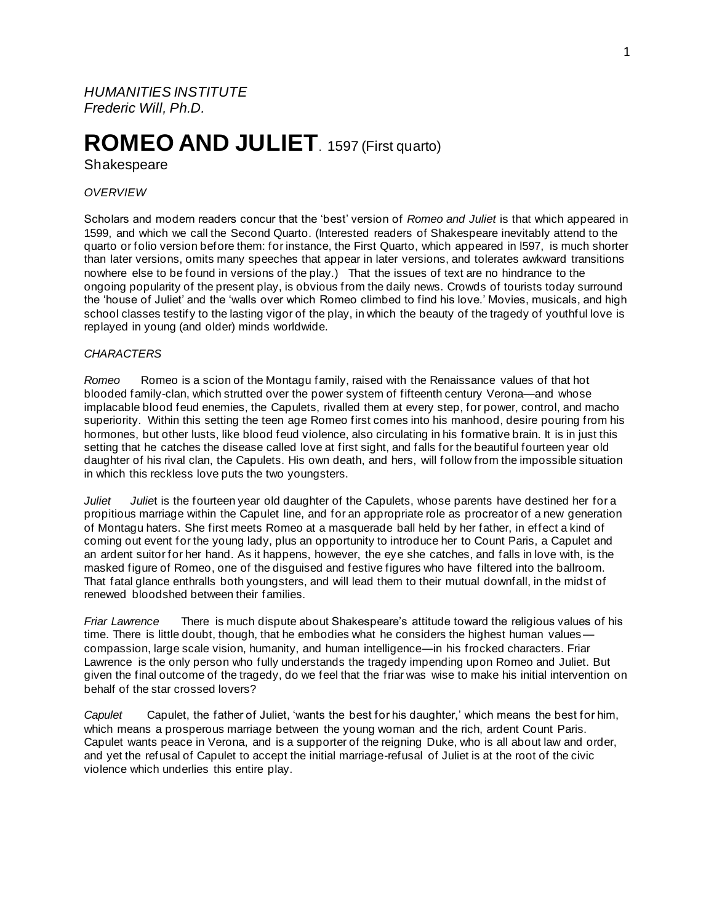*HUMANITIES INSTITUTE Frederic Will, Ph.D.*

# **ROMEO AND JULIET**. 1597 (First quarto)

**Shakespeare** 

## *OVERVIEW*

Scholars and modern readers concur that the 'best' version of *Romeo and Juliet* is that which appeared in 1599, and which we call the Second Quarto. (Interested readers of Shakespeare inevitably attend to the quarto or folio version before them: for instance, the First Quarto, which appeared in l597, is much shorter than later versions, omits many speeches that appear in later versions, and tolerates awkward transitions nowhere else to be found in versions of the play.) That the issues of text are no hindrance to the ongoing popularity of the present play, is obvious from the daily news. Crowds of tourists today surround the 'house of Juliet' and the 'walls over which Romeo climbed to find his love.' Movies, musicals, and high school classes testify to the lasting vigor of the play, in which the beauty of the tragedy of youthful love is replayed in young (and older) minds worldwide.

## *CHARACTERS*

*Romeo* Romeo is a scion of the Montagu family, raised with the Renaissance values of that hot blooded family-clan, which strutted over the power system of fifteenth century Verona—and whose implacable blood feud enemies, the Capulets, rivalled them at every step, for power, control, and macho superiority. Within this setting the teen age Romeo first comes into his manhood, desire pouring from his hormones, but other lusts, like blood feud violence, also circulating in his formative brain. It is in just this setting that he catches the disease called love at first sight, and falls for the beautiful fourteen year old daughter of his rival clan, the Capulets. His own death, and hers, will follow from the impossible situation in which this reckless love puts the two youngsters.

*Juliet Julie*t is the fourteen year old daughter of the Capulets, whose parents have destined her for a propitious marriage within the Capulet line, and for an appropriate role as procreator of a new generation of Montagu haters. She first meets Romeo at a masquerade ball held by her father, in effect a kind of coming out event for the young lady, plus an opportunity to introduce her to Count Paris, a Capulet and an ardent suitor for her hand. As it happens, however, the eye she catches, and falls in love with, is the masked figure of Romeo, one of the disguised and festive figures who have filtered into the ballroom. That fatal glance enthralls both youngsters, and will lead them to their mutual downfall, in the midst of renewed bloodshed between their families.

*Friar Lawrence* There is much dispute about Shakespeare's attitude toward the religious values of his time. There is little doubt, though, that he embodies what he considers the highest human values compassion, large scale vision, humanity, and human intelligence—in his frocked characters. Friar Lawrence is the only person who fully understands the tragedy impending upon Romeo and Juliet. But given the final outcome of the tragedy, do we feel that the friar was wise to make his initial intervention on behalf of the star crossed lovers?

*Capulet* Capulet, the father of Juliet, 'wants the best for his daughter,' which means the best for him, which means a prosperous marriage between the young woman and the rich, ardent Count Paris. Capulet wants peace in Verona, and is a supporter of the reigning Duke, who is all about law and order, and yet the refusal of Capulet to accept the initial marriage-refusal of Juliet is at the root of the civic violence which underlies this entire play.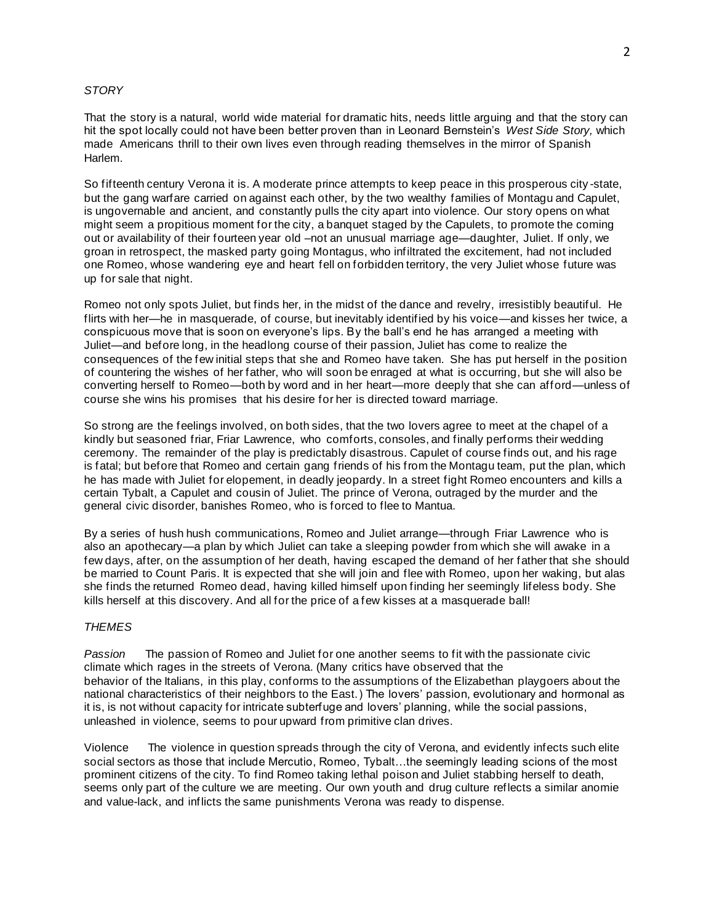#### *STORY*

That the story is a natural, world wide material for dramatic hits, needs little arguing and that the story can hit the spot locally could not have been better proven than in Leonard Bernstein's *West Side Story,* which made Americans thrill to their own lives even through reading themselves in the mirror of Spanish Harlem.

So fifteenth century Verona it is. A moderate prince attempts to keep peace in this prosperous city -state, but the gang warfare carried on against each other, by the two wealthy families of Montagu and Capulet, is ungovernable and ancient, and constantly pulls the city apart into violence. Our story opens on what might seem a propitious moment for the city, a banquet staged by the Capulets, to promote the coming out or availability of their fourteen year old –not an unusual marriage age—daughter, Juliet. If only, we groan in retrospect, the masked party going Montagus, who infiltrated the excitement, had not included one Romeo, whose wandering eye and heart fell on forbidden territory, the very Juliet whose future was up for sale that night.

Romeo not only spots Juliet, but finds her, in the midst of the dance and revelry, irresistibly beautiful. He flirts with her—he in masquerade, of course, but inevitably identified by his voice—and kisses her twice, a conspicuous move that is soon on everyone's lips. By the ball's end he has arranged a meeting with Juliet—and before long, in the headlong course of their passion, Juliet has come to realize the consequences of the few initial steps that she and Romeo have taken. She has put herself in the position of countering the wishes of her father, who will soon be enraged at what is occurring, but she will also be converting herself to Romeo—both by word and in her heart—more deeply that she can afford—unless of course she wins his promises that his desire for her is directed toward marriage.

So strong are the feelings involved, on both sides, that the two lovers agree to meet at the chapel of a kindly but seasoned friar, Friar Lawrence, who comforts, consoles, and finally performs their wedding ceremony. The remainder of the play is predictably disastrous. Capulet of course finds out, and his rage is fatal; but before that Romeo and certain gang friends of his from the Montagu team, put the plan, which he has made with Juliet for elopement, in deadly jeopardy. In a street fight Romeo encounters and kills a certain Tybalt, a Capulet and cousin of Juliet. The prince of Verona, outraged by the murder and the general civic disorder, banishes Romeo, who is forced to flee to Mantua.

By a series of hush hush communications, Romeo and Juliet arrange—through Friar Lawrence who is also an apothecary—a plan by which Juliet can take a sleeping powder from which she will awake in a few days, after, on the assumption of her death, having escaped the demand of her father that she should be married to Count Paris. It is expected that she will join and flee with Romeo, upon her waking, but alas she finds the returned Romeo dead, having killed himself upon finding her seemingly lifeless body. She kills herself at this discovery. And all for the price of a few kisses at a masquerade ball!

## *THEMES*

*Passion* The passion of Romeo and Juliet for one another seems to fit with the passionate civic climate which rages in the streets of Verona. (Many critics have observed that the behavior of the Italians, in this play, conforms to the assumptions of the Elizabethan playgoers about the national characteristics of their neighbors to the East.) The lovers' passion, evolutionary and hormonal as it is, is not without capacity for intricate subterfuge and lovers' planning, while the social passions, unleashed in violence, seems to pour upward from primitive clan drives.

Violence The violence in question spreads through the city of Verona, and evidently infects such elite social sectors as those that include Mercutio, Romeo, Tybalt…the seemingly leading scions of the most prominent citizens of the city. To find Romeo taking lethal poison and Juliet stabbing herself to death, seems only part of the culture we are meeting. Our own youth and drug culture reflects a similar anomie and value-lack, and inflicts the same punishments Verona was ready to dispense.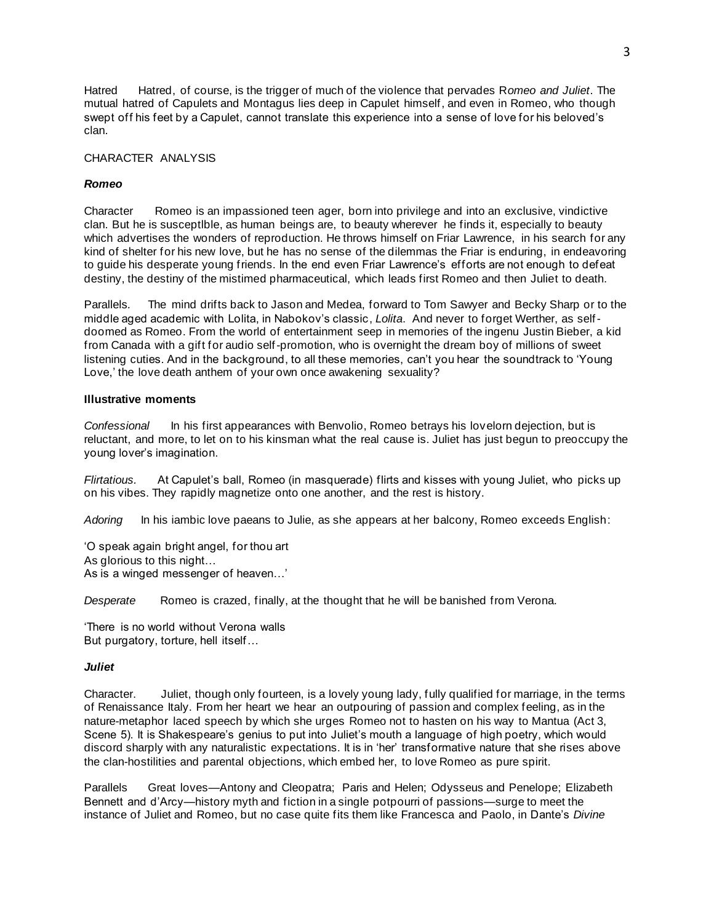Hatred Hatred, of course, is the trigger of much of the violence that pervades R*omeo and Juliet*. The mutual hatred of Capulets and Montagus lies deep in Capulet himself, and even in Romeo, who though swept off his feet by a Capulet, cannot translate this experience into a sense of love for his beloved's clan.

## CHARACTER ANALYSIS

## *Romeo*

Character Romeo is an impassioned teen ager, born into privilege and into an exclusive, vindictive clan. But he is susceptlble, as human beings are, to beauty wherever he finds it, especially to beauty which advertises the wonders of reproduction. He throws himself on Friar Lawrence, in his search for any kind of shelter for his new love, but he has no sense of the dilemmas the Friar is enduring, in endeavoring to guide his desperate young friends. In the end even Friar Lawrence's efforts are not enough to defeat destiny, the destiny of the mistimed pharmaceutical, which leads first Romeo and then Juliet to death.

Parallels*.* The mind drifts back to Jason and Medea, forward to Tom Sawyer and Becky Sharp or to the middle aged academic with Lolita, in Nabokov's classic, *Lolita*. And never to forget Werther, as selfdoomed as Romeo. From the world of entertainment seep in memories of the ingenu Justin Bieber, a kid from Canada with a gift for audio self-promotion, who is overnight the dream boy of millions of sweet listening cuties. And in the background, to all these memories, can't you hear the soundtrack to 'Young Love,' the love death anthem of your own once awakening sexuality?

## **Illustrative moments**

*Confessional* In his first appearances with Benvolio, Romeo betrays his lovelorn dejection, but is reluctant, and more, to let on to his kinsman what the real cause is. Juliet has just begun to preoccupy the young lover's imagination.

*Flirtatious.* At Capulet's ball, Romeo (in masquerade) flirts and kisses with young Juliet, who picks up on his vibes. They rapidly magnetize onto one another, and the rest is history.

*Adoring* In his iambic love paeans to Julie, as she appears at her balcony, Romeo exceeds English:

'O speak again bright angel, for thou art As glorious to this night… As is a winged messenger of heaven…'

*Desperate* Romeo is crazed, finally, at the thought that he will be banished from Verona.

'There is no world without Verona walls But purgatory, torture, hell itself…

## *Juliet*

Character. Juliet, though only fourteen, is a lovely young lady, fully qualified for marriage, in the terms of Renaissance Italy. From her heart we hear an outpouring of passion and complex feeling, as in the nature-metaphor laced speech by which she urges Romeo not to hasten on his way to Mantua (Act 3, Scene 5). It is Shakespeare's genius to put into Juliet's mouth a language of high poetry, which would discord sharply with any naturalistic expectations. It is in 'her' transformative nature that she rises above the clan-hostilities and parental objections, which embed her, to love Romeo as pure spirit.

Parallels Great loves—Antony and Cleopatra; Paris and Helen; Odysseus and Penelope; Elizabeth Bennett and d'Arcy—history myth and fiction in a single potpourri of passions—surge to meet the instance of Juliet and Romeo, but no case quite fits them like Francesca and Paolo, in Dante's *Divine*